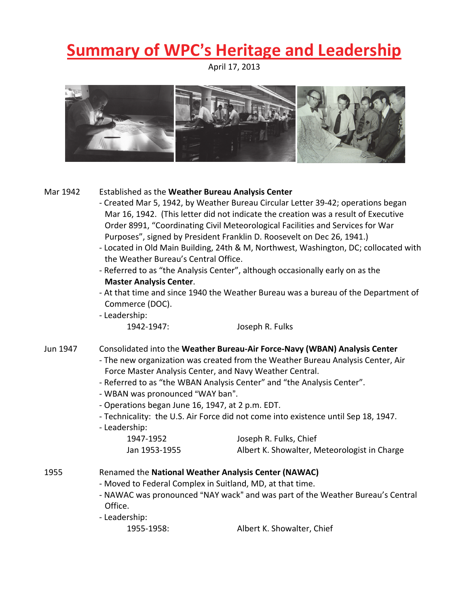## **<u>Summary of WPC's Heritage and Leadership</u>**

April 17, 2013



| Mar 1942                                                                           | Established as the Weather Bureau Analysis Center                                                                                                                                                                                                                                                                                                                                                                                                                                                                                                                                       |                            |  |                 |                                                                                 |  |  |
|------------------------------------------------------------------------------------|-----------------------------------------------------------------------------------------------------------------------------------------------------------------------------------------------------------------------------------------------------------------------------------------------------------------------------------------------------------------------------------------------------------------------------------------------------------------------------------------------------------------------------------------------------------------------------------------|----------------------------|--|-----------------|---------------------------------------------------------------------------------|--|--|
|                                                                                    | - Created Mar 5, 1942, by Weather Bureau Circular Letter 39-42; operations began                                                                                                                                                                                                                                                                                                                                                                                                                                                                                                        |                            |  |                 |                                                                                 |  |  |
|                                                                                    | Mar 16, 1942. (This letter did not indicate the creation was a result of Executive<br>Order 8991, "Coordinating Civil Meteorological Facilities and Services for War<br>Purposes", signed by President Franklin D. Roosevelt on Dec 26, 1941.)<br>- Located in Old Main Building, 24th & M, Northwest, Washington, DC; collocated with<br>the Weather Bureau's Central Office.<br>- Referred to as "the Analysis Center", although occasionally early on as the<br><b>Master Analysis Center.</b><br>- At that time and since 1940 the Weather Bureau was a bureau of the Department of |                            |  |                 |                                                                                 |  |  |
|                                                                                    |                                                                                                                                                                                                                                                                                                                                                                                                                                                                                                                                                                                         |                            |  | Commerce (DOC). |                                                                                 |  |  |
|                                                                                    |                                                                                                                                                                                                                                                                                                                                                                                                                                                                                                                                                                                         |                            |  | - Leadership:   |                                                                                 |  |  |
|                                                                                    |                                                                                                                                                                                                                                                                                                                                                                                                                                                                                                                                                                                         |                            |  | 1942-1947:      | Joseph R. Fulks                                                                 |  |  |
|                                                                                    |                                                                                                                                                                                                                                                                                                                                                                                                                                                                                                                                                                                         |                            |  |                 |                                                                                 |  |  |
|                                                                                    |                                                                                                                                                                                                                                                                                                                                                                                                                                                                                                                                                                                         |                            |  | Jun 1947        | Consolidated into the Weather Bureau-Air Force-Navy (WBAN) Analysis Center      |  |  |
|                                                                                    |                                                                                                                                                                                                                                                                                                                                                                                                                                                                                                                                                                                         |                            |  |                 | - The new organization was created from the Weather Bureau Analysis Center, Air |  |  |
|                                                                                    |                                                                                                                                                                                                                                                                                                                                                                                                                                                                                                                                                                                         |                            |  |                 | Force Master Analysis Center, and Navy Weather Central.                         |  |  |
|                                                                                    | - Referred to as "the WBAN Analysis Center" and "the Analysis Center".                                                                                                                                                                                                                                                                                                                                                                                                                                                                                                                  |                            |  |                 |                                                                                 |  |  |
|                                                                                    | - WBAN was pronounced "WAY ban".                                                                                                                                                                                                                                                                                                                                                                                                                                                                                                                                                        |                            |  |                 |                                                                                 |  |  |
|                                                                                    | - Operations began June 16, 1947, at 2 p.m. EDT.                                                                                                                                                                                                                                                                                                                                                                                                                                                                                                                                        |                            |  |                 |                                                                                 |  |  |
| - Technicality: the U.S. Air Force did not come into existence until Sep 18, 1947. |                                                                                                                                                                                                                                                                                                                                                                                                                                                                                                                                                                                         |                            |  |                 |                                                                                 |  |  |
| - Leadership:                                                                      |                                                                                                                                                                                                                                                                                                                                                                                                                                                                                                                                                                                         |                            |  |                 |                                                                                 |  |  |
| 1947-1952                                                                          | Joseph R. Fulks, Chief                                                                                                                                                                                                                                                                                                                                                                                                                                                                                                                                                                  |                            |  |                 |                                                                                 |  |  |
| Jan 1953-1955                                                                      | Albert K. Showalter, Meteorologist in Charge                                                                                                                                                                                                                                                                                                                                                                                                                                                                                                                                            |                            |  |                 |                                                                                 |  |  |
|                                                                                    |                                                                                                                                                                                                                                                                                                                                                                                                                                                                                                                                                                                         |                            |  |                 |                                                                                 |  |  |
| 1955                                                                               | Renamed the National Weather Analysis Center (NAWAC)                                                                                                                                                                                                                                                                                                                                                                                                                                                                                                                                    |                            |  |                 |                                                                                 |  |  |
|                                                                                    | - Moved to Federal Complex in Suitland, MD, at that time.                                                                                                                                                                                                                                                                                                                                                                                                                                                                                                                               |                            |  |                 |                                                                                 |  |  |
|                                                                                    | - NAWAC was pronounced "NAY wack" and was part of the Weather Bureau's Central                                                                                                                                                                                                                                                                                                                                                                                                                                                                                                          |                            |  |                 |                                                                                 |  |  |
|                                                                                    | Office.                                                                                                                                                                                                                                                                                                                                                                                                                                                                                                                                                                                 |                            |  |                 |                                                                                 |  |  |
|                                                                                    | - Leadership:                                                                                                                                                                                                                                                                                                                                                                                                                                                                                                                                                                           |                            |  |                 |                                                                                 |  |  |
|                                                                                    | 1955-1958:                                                                                                                                                                                                                                                                                                                                                                                                                                                                                                                                                                              | Albert K. Showalter, Chief |  |                 |                                                                                 |  |  |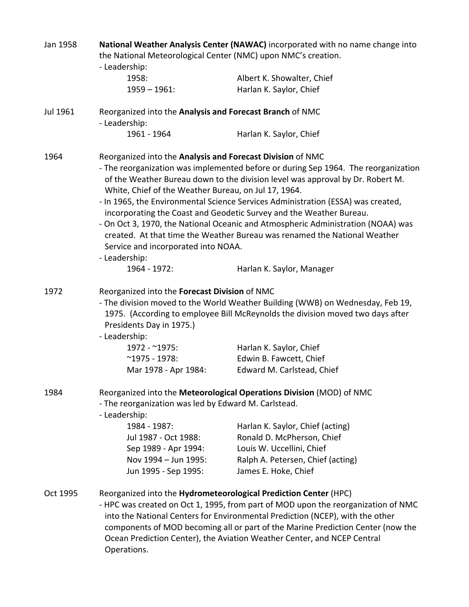| Jan 1958 | National Weather Analysis Center (NAWAC) incorporated with no name change into<br>the National Meteorological Center (NMC) upon NMC's creation.                                                                              |                                                                                                                                                                                                                                                                                                                                  |  |  |
|----------|------------------------------------------------------------------------------------------------------------------------------------------------------------------------------------------------------------------------------|----------------------------------------------------------------------------------------------------------------------------------------------------------------------------------------------------------------------------------------------------------------------------------------------------------------------------------|--|--|
|          |                                                                                                                                                                                                                              |                                                                                                                                                                                                                                                                                                                                  |  |  |
|          | - Leadership:                                                                                                                                                                                                                |                                                                                                                                                                                                                                                                                                                                  |  |  |
|          | 1958:                                                                                                                                                                                                                        | Albert K. Showalter, Chief                                                                                                                                                                                                                                                                                                       |  |  |
|          | $1959 - 1961$ :                                                                                                                                                                                                              | Harlan K. Saylor, Chief                                                                                                                                                                                                                                                                                                          |  |  |
| Jul 1961 | Reorganized into the Analysis and Forecast Branch of NMC                                                                                                                                                                     |                                                                                                                                                                                                                                                                                                                                  |  |  |
|          | - Leadership:                                                                                                                                                                                                                |                                                                                                                                                                                                                                                                                                                                  |  |  |
|          | 1961 - 1964                                                                                                                                                                                                                  | Harlan K. Saylor, Chief                                                                                                                                                                                                                                                                                                          |  |  |
| 1964     | Reorganized into the Analysis and Forecast Division of NMC                                                                                                                                                                   |                                                                                                                                                                                                                                                                                                                                  |  |  |
|          | - The reorganization was implemented before or during Sep 1964. The reorganization<br>of the Weather Bureau down to the division level was approval by Dr. Robert M.<br>White, Chief of the Weather Bureau, on Jul 17, 1964. |                                                                                                                                                                                                                                                                                                                                  |  |  |
|          | - In 1965, the Environmental Science Services Administration (ESSA) was created,<br>incorporating the Coast and Geodetic Survey and the Weather Bureau.                                                                      |                                                                                                                                                                                                                                                                                                                                  |  |  |
|          | - On Oct 3, 1970, the National Oceanic and Atmospheric Administration (NOAA) was<br>created. At that time the Weather Bureau was renamed the National Weather<br>Service and incorporated into NOAA.                         |                                                                                                                                                                                                                                                                                                                                  |  |  |
|          | - Leadership:                                                                                                                                                                                                                |                                                                                                                                                                                                                                                                                                                                  |  |  |
|          | 1964 - 1972:                                                                                                                                                                                                                 | Harlan K. Saylor, Manager                                                                                                                                                                                                                                                                                                        |  |  |
| 1972     | Reorganized into the Forecast Division of NMC                                                                                                                                                                                |                                                                                                                                                                                                                                                                                                                                  |  |  |
|          | - The division moved to the World Weather Building (WWB) on Wednesday, Feb 19,<br>1975. (According to employee Bill McReynolds the division moved two days after<br>Presidents Day in 1975.)                                 |                                                                                                                                                                                                                                                                                                                                  |  |  |
|          | - Leadership:                                                                                                                                                                                                                |                                                                                                                                                                                                                                                                                                                                  |  |  |
|          | 1972 - ~1975:                                                                                                                                                                                                                | Harlan K. Saylor, Chief                                                                                                                                                                                                                                                                                                          |  |  |
|          | $^{\sim}$ 1975 - 1978:                                                                                                                                                                                                       | Edwin B. Fawcett, Chief                                                                                                                                                                                                                                                                                                          |  |  |
|          | Mar 1978 - Apr 1984:                                                                                                                                                                                                         | Edward M. Carlstead, Chief                                                                                                                                                                                                                                                                                                       |  |  |
| 1984     |                                                                                                                                                                                                                              | Reorganized into the Meteorological Operations Division (MOD) of NMC                                                                                                                                                                                                                                                             |  |  |
|          | - The reorganization was led by Edward M. Carlstead.<br>- Leadership:                                                                                                                                                        |                                                                                                                                                                                                                                                                                                                                  |  |  |
|          | 1984 - 1987:                                                                                                                                                                                                                 | Harlan K. Saylor, Chief (acting)                                                                                                                                                                                                                                                                                                 |  |  |
|          | Jul 1987 - Oct 1988:                                                                                                                                                                                                         | Ronald D. McPherson, Chief                                                                                                                                                                                                                                                                                                       |  |  |
|          | Sep 1989 - Apr 1994:                                                                                                                                                                                                         | Louis W. Uccellini, Chief                                                                                                                                                                                                                                                                                                        |  |  |
|          | Nov 1994 - Jun 1995:                                                                                                                                                                                                         | Ralph A. Petersen, Chief (acting)                                                                                                                                                                                                                                                                                                |  |  |
|          | Jun 1995 - Sep 1995:                                                                                                                                                                                                         | James E. Hoke, Chief                                                                                                                                                                                                                                                                                                             |  |  |
| Oct 1995 | Reorganized into the Hydrometeorological Prediction Center (HPC)                                                                                                                                                             |                                                                                                                                                                                                                                                                                                                                  |  |  |
|          | Operations.                                                                                                                                                                                                                  | - HPC was created on Oct 1, 1995, from part of MOD upon the reorganization of NMC<br>into the National Centers for Environmental Prediction (NCEP), with the other<br>components of MOD becoming all or part of the Marine Prediction Center (now the<br>Ocean Prediction Center), the Aviation Weather Center, and NCEP Central |  |  |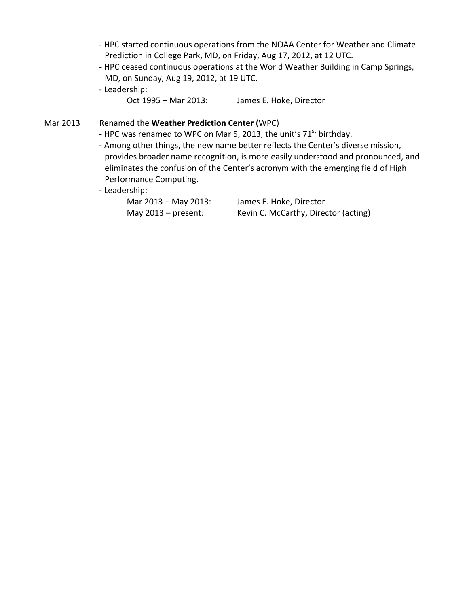- ‐ HPC started continuous operations from the NOAA Center for Weather and Climate Prediction in College Park, MD, on Friday, Aug 17, 2012, at 12 UTC.
- ‐ HPC ceased continuous operations at the World Weather Building in Camp Springs, MD, on Sunday, Aug 19, 2012, at 19 UTC.
- ‐ Leadership:
	- Oct 1995 Mar 2013: James E. Hoke, Director

Mar 2013 Renamed the **Weather Prediction Center** (WPC)

- HPC was renamed to WPC on Mar 5, 2013, the unit's  $71<sup>st</sup>$  birthday.
- ‐ Among other things, the new name better reflects the Center's diverse mission, provides broader name recognition, is more easily understood and pronounced, and eliminates the confusion of the Center's acronym with the emerging field of High Performance Computing.
- ‐ Leadership:

| Mar 2013 – May 2013:  | James E. Hoke, Director              |
|-----------------------|--------------------------------------|
| May $2013$ – present: | Kevin C. McCarthy, Director (acting) |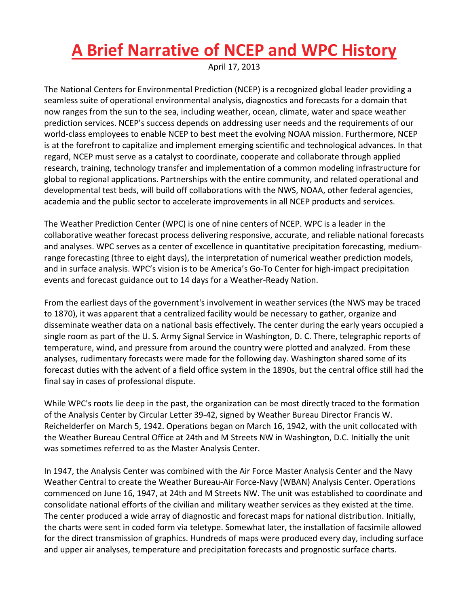## **A Brief Narrative of NCEP and WPC History**

April 17, 2013

The National Centers for Environmental Prediction (NCEP) is a recognized global leader providing a seamless suite of operational environmental analysis, diagnostics and forecasts for a domain that now ranges from the sun to the sea, including weather, ocean, climate, water and space weather prediction services. NCEP's success depends on addressing user needs and the requirements of our world-class employees to enable NCEP to best meet the evolving NOAA mission. Furthermore, NCEP is at the forefront to capitalize and implement emerging scientific and technological advances. In that regard, NCEP must serve as a catalyst to coordinate, cooperate and collaborate through applied research, training, technology transfer and implementation of a common modeling infrastructure for global to regional applications. Partnerships with the entire community, and related operational and developmental test beds, will build off collaborations with the NWS, NOAA, other federal agencies, academia and the public sector to accelerate improvements in all NCEP products and services.

The Weather Prediction Center (WPC) is one of nine centers of NCEP. WPC is a leader in the collaborative weather forecast process delivering responsive, accurate, and reliable national forecasts and analyses. WPC serves as a center of excellence in quantitative precipitation forecasting, medium‐ range forecasting (three to eight days), the interpretation of numerical weather prediction models, and in surface analysis. WPC's vision is to be America's Go-To Center for high-impact precipitation events and forecast guidance out to 14 days for a Weather‐Ready Nation.

From the earliest days of the government's involvement in weather services (the NWS may be traced to 1870), it was apparent that a centralized facility would be necessary to gather, organize and disseminate weather data on a national basis effectively. The center during the early years occupied a single room as part of the U. S. Army Signal Service in Washington, D. C. There, telegraphic reports of temperature, wind, and pressure from around the country were plotted and analyzed. From these analyses, rudimentary forecasts were made for the following day. Washington shared some of its forecast duties with the advent of a field office system in the 1890s, but the central office still had the final say in cases of professional dispute.

While WPC's roots lie deep in the past, the organization can be most directly traced to the formation of the Analysis Center by Circular Letter 39‐42, signed by Weather Bureau Director Francis W. Reichelderfer on March 5, 1942. Operations began on March 16, 1942, with the unit collocated with the Weather Bureau Central Office at 24th and M Streets NW in Washington, D.C. Initially the unit was sometimes referred to as the Master Analysis Center.

In 1947, the Analysis Center was combined with the Air Force Master Analysis Center and the Navy Weather Central to create the Weather Bureau‐Air Force‐Navy (WBAN) Analysis Center. Operations commenced on June 16, 1947, at 24th and M Streets NW. The unit was established to coordinate and consolidate national efforts of the civilian and military weather services as they existed at the time. The center produced a wide array of diagnostic and forecast maps for national distribution. Initially, the charts were sent in coded form via teletype. Somewhat later, the installation of facsimile allowed for the direct transmission of graphics. Hundreds of maps were produced every day, including surface and upper air analyses, temperature and precipitation forecasts and prognostic surface charts.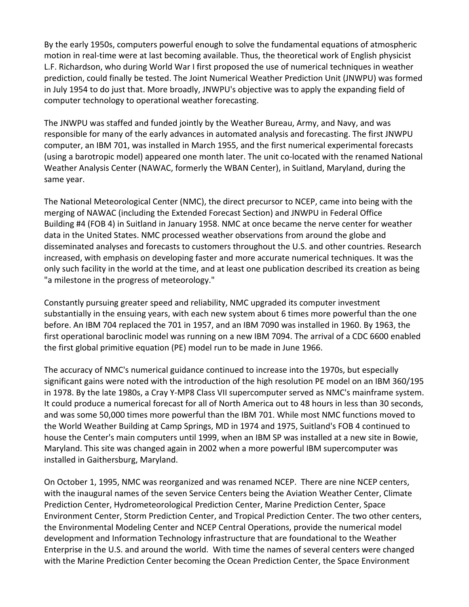By the early 1950s, computers powerful enough to solve the fundamental equations of atmospheric motion in real‐time were at last becoming available. Thus, the theoretical work of English physicist L.F. Richardson, who during World War I first proposed the use of numerical techniques in weather prediction, could finally be tested. The Joint Numerical Weather Prediction Unit (JNWPU) was formed in July 1954 to do just that. More broadly, JNWPU's objective was to apply the expanding field of computer technology to operational weather forecasting.

The JNWPU was staffed and funded jointly by the Weather Bureau, Army, and Navy, and was responsible for many of the early advances in automated analysis and forecasting. The first JNWPU computer, an IBM 701, was installed in March 1955, and the first numerical experimental forecasts (using a barotropic model) appeared one month later. The unit co‐located with the renamed National Weather Analysis Center (NAWAC, formerly the WBAN Center), in Suitland, Maryland, during the same year.

The National Meteorological Center (NMC), the direct precursor to NCEP, came into being with the merging of NAWAC (including the Extended Forecast Section) and JNWPU in Federal Office Building #4 (FOB 4) in Suitland in January 1958. NMC at once became the nerve center for weather data in the United States. NMC processed weather observations from around the globe and disseminated analyses and forecasts to customers throughout the U.S. and other countries. Research increased, with emphasis on developing faster and more accurate numerical techniques. It was the only such facility in the world at the time, and at least one publication described its creation as being "a milestone in the progress of meteorology."

Constantly pursuing greater speed and reliability, NMC upgraded its computer investment substantially in the ensuing years, with each new system about 6 times more powerful than the one before. An IBM 704 replaced the 701 in 1957, and an IBM 7090 was installed in 1960. By 1963, the first operational baroclinic model was running on a new IBM 7094. The arrival of a CDC 6600 enabled the first global primitive equation (PE) model run to be made in June 1966.

The accuracy of NMC's numerical guidance continued to increase into the 1970s, but especially significant gains were noted with the introduction of the high resolution PE model on an IBM 360/195 in 1978. By the late 1980s, a Cray Y‐MP8 Class VII supercomputer served as NMC's mainframe system. It could produce a numerical forecast for all of North America out to 48 hours in less than 30 seconds, and was some 50,000 times more powerful than the IBM 701. While most NMC functions moved to the World Weather Building at Camp Springs, MD in 1974 and 1975, Suitland's FOB 4 continued to house the Center's main computers until 1999, when an IBM SP was installed at a new site in Bowie, Maryland. This site was changed again in 2002 when a more powerful IBM supercomputer was installed in Gaithersburg, Maryland.

On October 1, 1995, NMC was reorganized and was renamed NCEP. There are nine NCEP centers, with the inaugural names of the seven Service Centers being the Aviation Weather Center, Climate Prediction Center, Hydrometeorological Prediction Center, Marine Prediction Center, Space Environment Center, Storm Prediction Center, and Tropical Prediction Center. The two other centers, the Environmental Modeling Center and NCEP Central Operations, provide the numerical model development and Information Technology infrastructure that are foundational to the Weather Enterprise in the U.S. and around the world. With time the names of several centers were changed with the Marine Prediction Center becoming the Ocean Prediction Center, the Space Environment